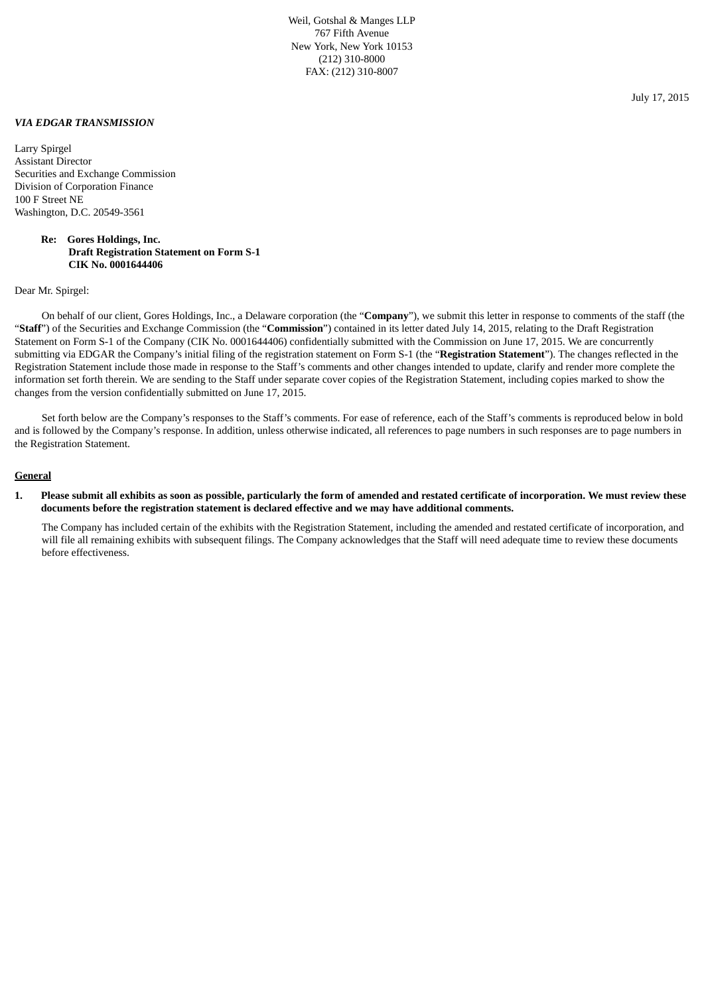Weil, Gotshal & Manges LLP 767 Fifth Avenue New York, New York 10153 (212) 310-8000 FAX: (212) 310-8007

*VIA EDGAR TRANSMISSION*

Larry Spirgel Assistant Director Securities and Exchange Commission Division of Corporation Finance 100 F Street NE Washington, D.C. 20549-3561

## **Re: Gores Holdings, Inc. Draft Registration Statement on Form S-1 CIK No. 0001644406**

Dear Mr. Spirgel:

On behalf of our client, Gores Holdings, Inc., a Delaware corporation (the "**Company**"), we submit this letter in response to comments of the staff (the "**Staff**") of the Securities and Exchange Commission (the "**Commission**") contained in its letter dated July 14, 2015, relating to the Draft Registration Statement on Form S-1 of the Company (CIK No. 0001644406) confidentially submitted with the Commission on June 17, 2015. We are concurrently submitting via EDGAR the Company's initial filing of the registration statement on Form S-1 (the "**Registration Statement**"). The changes reflected in the Registration Statement include those made in response to the Staff's comments and other changes intended to update, clarify and render more complete the information set forth therein. We are sending to the Staff under separate cover copies of the Registration Statement, including copies marked to show the changes from the version confidentially submitted on June 17, 2015.

Set forth below are the Company's responses to the Staff's comments. For ease of reference, each of the Staff's comments is reproduced below in bold and is followed by the Company's response. In addition, unless otherwise indicated, all references to page numbers in such responses are to page numbers in the Registration Statement.

#### **General**

1. Please submit all exhibits as soon as possible, particularly the form of amended and restated certificate of incorporation. We must review these **documents before the registration statement is declared effective and we may have additional comments.**

The Company has included certain of the exhibits with the Registration Statement, including the amended and restated certificate of incorporation, and will file all remaining exhibits with subsequent filings. The Company acknowledges that the Staff will need adequate time to review these documents before effectiveness.

July 17, 2015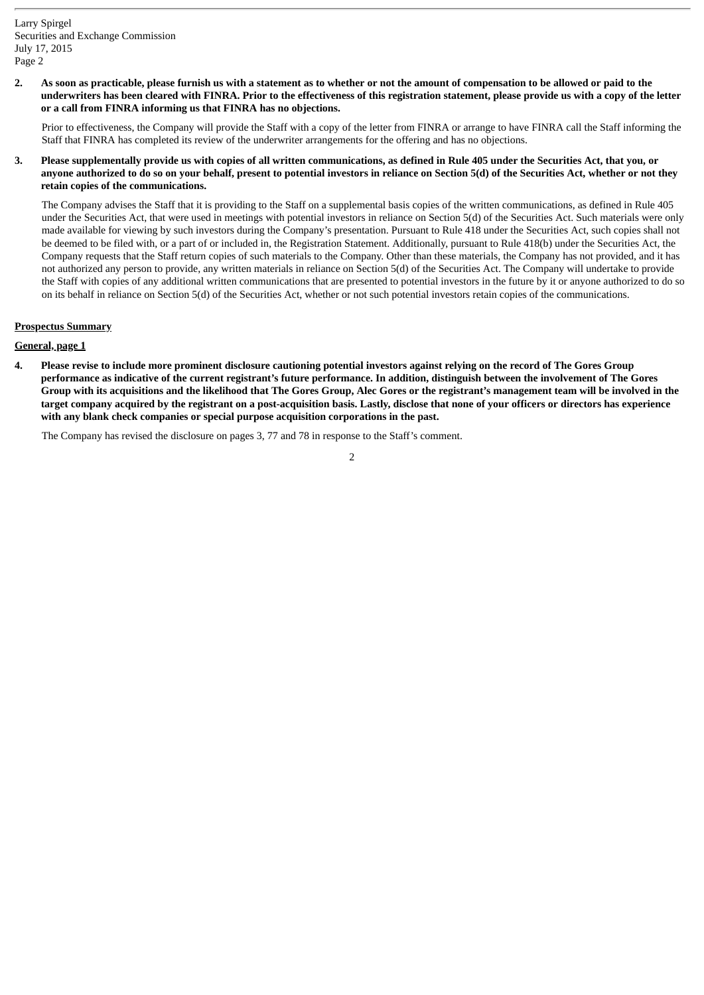2. As soon as practicable, please furnish us with a statement as to whether or not the amount of compensation to be allowed or paid to the underwriters has been cleared with FINRA. Prior to the effectiveness of this registration statement, please provide us with a copy of the letter **or a call from FINRA informing us that FINRA has no objections.**

Prior to effectiveness, the Company will provide the Staff with a copy of the letter from FINRA or arrange to have FINRA call the Staff informing the Staff that FINRA has completed its review of the underwriter arrangements for the offering and has no objections.

3. Please supplementally provide us with copies of all written communications, as defined in Rule 405 under the Securities Act, that you, or anyone authorized to do so on your behalf, present to potential investors in reliance on Section 5(d) of the Securities Act, whether or not they **retain copies of the communications.**

The Company advises the Staff that it is providing to the Staff on a supplemental basis copies of the written communications, as defined in Rule 405 under the Securities Act, that were used in meetings with potential investors in reliance on Section 5(d) of the Securities Act. Such materials were only made available for viewing by such investors during the Company's presentation. Pursuant to Rule 418 under the Securities Act, such copies shall not be deemed to be filed with, or a part of or included in, the Registration Statement. Additionally, pursuant to Rule 418(b) under the Securities Act, the Company requests that the Staff return copies of such materials to the Company. Other than these materials, the Company has not provided, and it has not authorized any person to provide, any written materials in reliance on Section 5(d) of the Securities Act. The Company will undertake to provide the Staff with copies of any additional written communications that are presented to potential investors in the future by it or anyone authorized to do so on its behalf in reliance on Section 5(d) of the Securities Act, whether or not such potential investors retain copies of the communications.

# **Prospectus Summary**

# **General, page 1**

4. Please revise to include more prominent disclosure cautioning potential investors against relying on the record of The Gores Group performance as indicative of the current registrant's future performance. In addition, distinguish between the involvement of The Gores Group with its acquisitions and the likelihood that The Gores Group, Alec Gores or the registrant's management team will be involved in the target company acquired by the registrant on a post-acquisition basis. Lastly, disclose that none of your officers or directors has experience **with any blank check companies or special purpose acquisition corporations in the past.**

The Company has revised the disclosure on pages 3, 77 and 78 in response to the Staff's comment.

 $\overline{2}$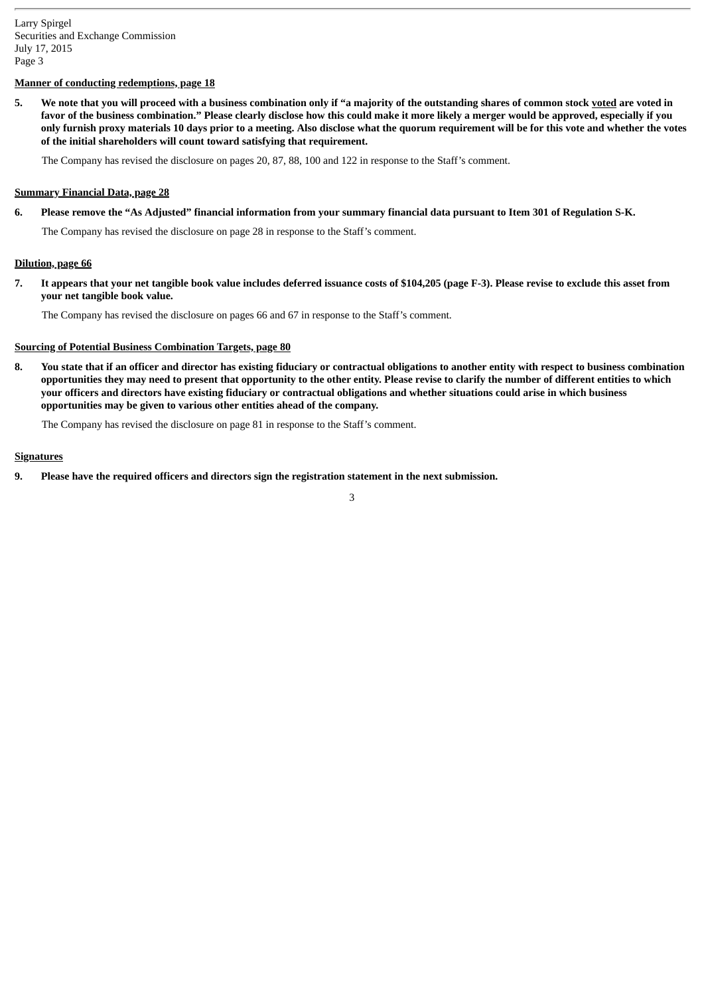## **Manner of conducting redemptions, page 18**

5. We note that you will proceed with a business combination only if "a majority of the outstanding shares of common stock voted are voted in favor of the business combination." Please clearly disclose how this could make it more likely a merger would be approved, especially if you only furnish proxy materials 10 days prior to a meeting. Also disclose what the quorum requirement will be for this vote and whether the votes **of the initial shareholders will count toward satisfying that requirement.**

The Company has revised the disclosure on pages 20, 87, 88, 100 and 122 in response to the Staff's comment.

## **Summary Financial Data, page 28**

6. Please remove the "As Adjusted" financial information from your summary financial data pursuant to Item 301 of Regulation S-K.

The Company has revised the disclosure on page 28 in response to the Staff's comment.

## **Dilution, page 66**

7. It appears that your net tangible book value includes deferred issuance costs of \$104,205 (page F-3). Please revise to exclude this asset from **your net tangible book value.**

The Company has revised the disclosure on pages 66 and 67 in response to the Staff's comment.

## **Sourcing of Potential Business Combination Targets, page 80**

8. You state that if an officer and director has existing fiduciary or contractual obligations to another entity with respect to business combination opportunities they may need to present that opportunity to the other entity. Please revise to clarify the number of different entities to which your officers and directors have existing fiduciary or contractual obligations and whether situations could arise in which business **opportunities may be given to various other entities ahead of the company.**

The Company has revised the disclosure on page 81 in response to the Staff's comment.

## **Signatures**

**9. Please have the required officers and directors sign the registration statement in the next submission.**

3